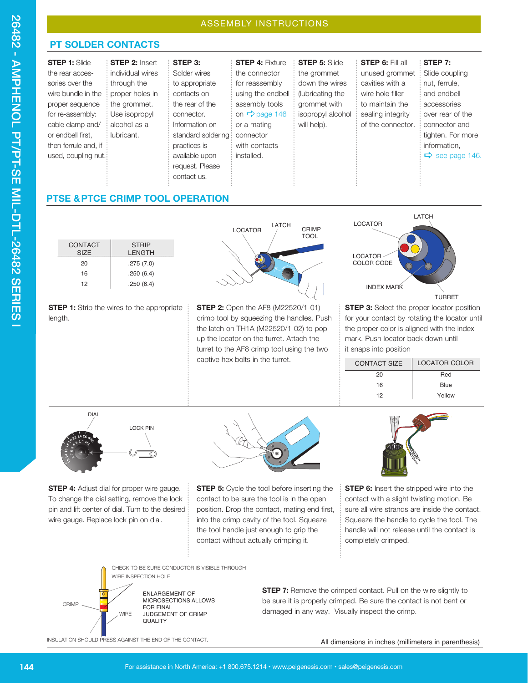## **PT SOLDER CONTACTS**

| <b>STEP 1: Slide</b> | <b>STEP 2: Insert</b> | STEP 3:             | <b>STEP 4: Fixture</b>    | <b>STEP 5: Slide</b> | <b>STEP 6: Fill all</b> | STEP 7:                     |
|----------------------|-----------------------|---------------------|---------------------------|----------------------|-------------------------|-----------------------------|
| the rear acces-      | individual wires      | Solder wires        | the connector             | the grommet          | unused grommet          | Slide coupling              |
| sories over the      | through the           | to appropriate      | for reassembly            | down the wires       | cavities with a         | nut, ferrule,               |
| wire bundle in the   | proper holes in       | contacts on         | using the endbell         | (lubricating the     | wire hole filler        | and endbell                 |
| proper sequence      | the grommet.          | the rear of the     | assembly tools            | grommet with         | to maintain the         | accessories                 |
| for re-assembly:     | Use isopropyl         | connector.          | on $\Rightarrow$ page 146 | isopropyl alcohol    | sealing integrity       | over rear of the            |
| cable clamp and/     | alcohol as a          | Information on      | or a mating               | will help).          | of the connector.       | connector and               |
| or endbell first.    | lubricant.            | standard soldering: | connector                 |                      |                         | tighten. For more           |
| then ferrule and, if |                       | practices is        | with contacts             |                      |                         | information.                |
| used, coupling nut.  |                       | available upon      | installed.                |                      |                         | $\Rightarrow$ see page 146. |
|                      |                       | request. Please     |                           |                      |                         |                             |
|                      |                       | contact us.         |                           |                      |                         |                             |
|                      |                       |                     |                           |                      |                         |                             |

## **PTSE & PTCE CRIMP TOOL OPERATION**





**STEP 4:** Adjust dial for proper wire gauge. To change the dial setting, remove the lock pin and lift center of dial. Turn to the desired wire gauge. Replace lock pin on dial.



**STEP 5:** Cycle the tool before inserting the contact to be sure the tool is in the open position. Drop the contact, mating end first, into the crimp cavity of the tool. Squeeze the tool handle just enough to grip the contact without actually crimping it.



**STEP 6:** Insert the stripped wire into the contact with a slight twisting motion. Be sure all wire strands are inside the contact. Squeeze the handle to cycle the tool. The handle will not release until the contact is completely crimped.



**STEP 7:** Remove the crimped contact. Pull on the wire slightly to be sure it is properly crimped. Be sure the contact is not bent or damaged in any way. Visually inspect the crimp.

INSULATION SHOULD PRESS AGAINST THE END OF THE CONTACT. All climensions in inches (millimeters in parenthesis)